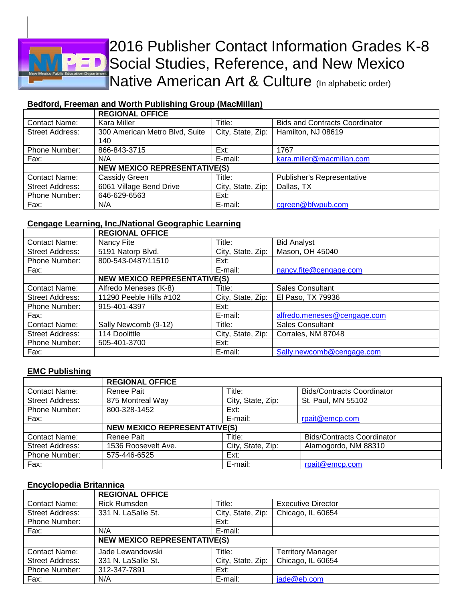

# 2016 Publisher Contact Information Grades K-8 Social Studies, Reference, and New Mexico Native American Art & Culture (In alphabetic order)

## **Bedford, Freeman and Worth Publishing Group (MacMillan)**

|                      | <b>REGIONAL OFFICE</b>                |                   |                                       |  |
|----------------------|---------------------------------------|-------------------|---------------------------------------|--|
| <b>Contact Name:</b> | Kara Miller                           | Title:            | <b>Bids and Contracts Coordinator</b> |  |
| Street Address:      | 300 American Metro Blvd, Suite<br>140 | City, State, Zip: | Hamilton, NJ 08619                    |  |
|                      |                                       |                   |                                       |  |
| Phone Number:        | 866-843-3715                          | Ext:              | 1767                                  |  |
| Fax:                 | N/A                                   | E-mail:           | kara.miller@macmillan.com             |  |
|                      | <b>NEW MEXICO REPRESENTATIVE(S)</b>   |                   |                                       |  |
| Contact Name:        | Cassidy Green                         | Title:            | <b>Publisher's Representative</b>     |  |
| Street Address:      | 6061 Village Bend Drive               | City, State, Zip: | Dallas, TX                            |  |
| Phone Number:        | 646-629-6563                          | Ext:              |                                       |  |
| Fax:                 | N/A                                   | E-mail:           | cgreen@bfwpub.com                     |  |

#### **Cengage Learning, Inc./National Geographic Learning**

|                        | <b>REGIONAL OFFICE</b>              |                   |                             |
|------------------------|-------------------------------------|-------------------|-----------------------------|
| <b>Contact Name:</b>   | Nancy Fite                          | Title:            | <b>Bid Analyst</b>          |
| Street Address:        | 5191 Natorp Blvd.                   | City, State, Zip: | Mason, OH 45040             |
| Phone Number:          | 800-543-0487/11510                  | Ext:              |                             |
| Fax:                   |                                     | E-mail:           | nancy.fite@cengage.com      |
|                        | <b>NEW MEXICO REPRESENTATIVE(S)</b> |                   |                             |
| <b>Contact Name:</b>   | Alfredo Meneses (K-8)               | Title:            | <b>Sales Consultant</b>     |
| Street Address:        | 11290 Peeble Hills #102             | City, State, Zip: | El Paso, TX 79936           |
| Phone Number:          | 915-401-4397                        | Ext:              |                             |
| Fax:                   |                                     | E-mail:           | alfredo.meneses@cengage.com |
| <b>Contact Name:</b>   | Sally Newcomb (9-12)                | Title:            | <b>Sales Consultant</b>     |
| <b>Street Address:</b> | 114 Doolittle                       | City, State, Zip: | Corrales, NM 87048          |
| Phone Number:          | 505-401-3700                        | Ext:              |                             |
| Fax:                   |                                     | E-mail:           | Sally.newcomb@cengage.com   |

#### **EMC Publishing**

|                        | <b>REGIONAL OFFICE</b>              |                   |                                   |
|------------------------|-------------------------------------|-------------------|-----------------------------------|
| <b>Contact Name:</b>   | Renee Pait                          | Title:            | <b>Bids/Contracts Coordinator</b> |
| <b>Street Address:</b> | 875 Montreal Way                    | City, State, Zip: | St. Paul, MN 55102                |
| Phone Number:          | 800-328-1452                        | Ext:              |                                   |
| Fax:                   |                                     | E-mail:           | rpait@emcp.com                    |
|                        | <b>NEW MEXICO REPRESENTATIVE(S)</b> |                   |                                   |
| <b>Contact Name:</b>   | Renee Pait                          | Title:            | <b>Bids/Contracts Coordinator</b> |
| <b>Street Address:</b> | 1536 Roosevelt Ave.                 | City, State, Zip: | Alamogordo, NM 88310              |
| Phone Number:          | 575-446-6525                        | Ext:              |                                   |
| Fax:                   |                                     | E-mail:           | rpait@emcp.com                    |

#### **Encyclopedia Britannica**

|                        | <b>REGIONAL OFFICE</b>              |                   |                           |
|------------------------|-------------------------------------|-------------------|---------------------------|
| <b>Contact Name:</b>   | <b>Rick Rumsden</b>                 | Title:            | <b>Executive Director</b> |
| <b>Street Address:</b> | 331 N. LaSalle St.                  | City, State, Zip: | Chicago, IL 60654         |
| Phone Number:          |                                     | Ext:              |                           |
| Fax:                   | N/A                                 | E-mail:           |                           |
|                        | <b>NEW MEXICO REPRESENTATIVE(S)</b> |                   |                           |
| <b>Contact Name:</b>   | Jade Lewandowski                    | Title:            | <b>Territory Manager</b>  |
| <b>Street Address:</b> | 331 N. LaSalle St.                  | City, State, Zip: | Chicago, IL 60654         |
| Phone Number:          | 312-347-7891                        | Ext:              |                           |
| Fax:                   | N/A                                 | E-mail:           | jade@eb.com               |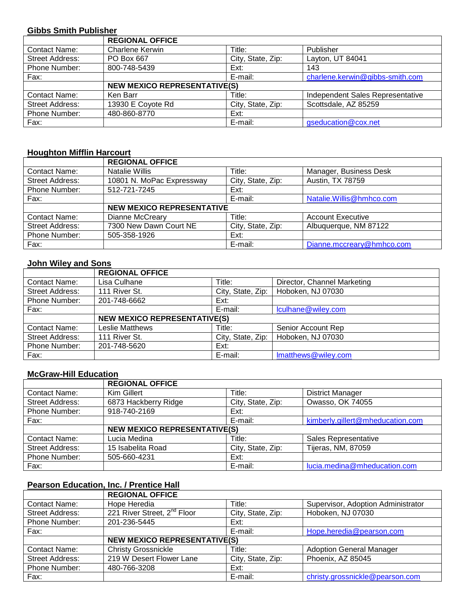#### **Gibbs Smith Publisher**

|                        | <b>REGIONAL OFFICE</b>              |                   |                                  |  |
|------------------------|-------------------------------------|-------------------|----------------------------------|--|
| <b>Contact Name:</b>   | Charlene Kerwin                     | Title:            | Publisher                        |  |
| <b>Street Address:</b> | PO Box 667                          | City, State, Zip: | Layton, UT 84041                 |  |
| Phone Number:          | 800-748-5439                        | Ext:              | 143                              |  |
| Fax:                   |                                     | E-mail:           | charlene.kerwin@gibbs-smith.com  |  |
|                        | <b>NEW MEXICO REPRESENTATIVE(S)</b> |                   |                                  |  |
| <b>Contact Name:</b>   | Ken Barr                            | Title:            | Independent Sales Representative |  |
| <b>Street Address:</b> | 13930 E Coyote Rd                   | City, State, Zip: | Scottsdale, AZ 85259             |  |
| Phone Number:          | 480-860-8770                        | Ext:              |                                  |  |
| Fax:                   |                                     | E-mail:           | gseducation@cox.net              |  |

# **Houghton Mifflin Harcourt**

|                        | <b>REGIONAL OFFICE</b>           |                   |                           |
|------------------------|----------------------------------|-------------------|---------------------------|
| <b>Contact Name:</b>   | <b>Natalie Willis</b>            | Title:            | Manager, Business Desk    |
| <b>Street Address:</b> | 10801 N. MoPac Expressway        | City, State, Zip: | Austin, TX 78759          |
| Phone Number:          | 512-721-7245                     | Ext:              |                           |
| Fax:                   |                                  | E-mail:           | Natalie. Willis@hmhco.com |
|                        | <b>NEW MEXICO REPRESENTATIVE</b> |                   |                           |
| <b>Contact Name:</b>   | Dianne McCreary                  | Title:            | <b>Account Executive</b>  |
| <b>Street Address:</b> | 7300 New Dawn Court NE           | City, State, Zip: | Albuquerque, NM 87122     |
| Phone Number:          | 505-358-1926                     | Ext:              |                           |
| Fax:                   |                                  | E-mail:           | Dianne.mccreary@hmhco.com |

#### **John Wiley and Sons**

|                        | <b>REGIONAL OFFICE</b>              |                   |                             |  |
|------------------------|-------------------------------------|-------------------|-----------------------------|--|
| <b>Contact Name:</b>   | Lisa Culhane                        | Title:            | Director, Channel Marketing |  |
| Street Address:        | 111 River St.                       | City, State, Zip: | Hoboken, NJ 07030           |  |
| Phone Number:          | 201-748-6662                        | Ext:              |                             |  |
| Fax:                   |                                     | E-mail:           | lculhane@wiley.com          |  |
|                        | <b>NEW MEXICO REPRESENTATIVE(S)</b> |                   |                             |  |
| <b>Contact Name:</b>   | Leslie Matthews                     | Title:            | Senior Account Rep          |  |
| <b>Street Address:</b> | 111 River St.                       | City, State, Zip: | Hoboken, NJ 07030           |  |
| Phone Number:          | 201-748-5620                        | Ext:              |                             |  |
| Fax:                   |                                     | E-mail:           | Imatthews@wiley.com         |  |

### **McGraw-Hill Education**

|                        | <b>REGIONAL OFFICE</b>              |                   |                                  |
|------------------------|-------------------------------------|-------------------|----------------------------------|
| <b>Contact Name:</b>   | Kim Gillert                         | Title:            | <b>District Manager</b>          |
| <b>Street Address:</b> | 6873 Hackberry Ridge                | City, State, Zip: | Owasso, OK 74055                 |
| Phone Number:          | 918-740-2169                        | Ext:              |                                  |
| Fax:                   |                                     | E-mail:           | kimberly.gillert@mheducation.com |
|                        | <b>NEW MEXICO REPRESENTATIVE(S)</b> |                   |                                  |
| <b>Contact Name:</b>   | Lucia Medina                        | Title:            | <b>Sales Representative</b>      |
| <b>Street Address:</b> | 15 Isabelita Road                   | City, State, Zip: | Tijeras, NM, 87059               |
| Phone Number:          | 505-660-4231                        | Ext:              |                                  |
| Fax:                   |                                     | E-mail:           | lucia.medina@mheducation.com     |

# **Pearson Education, Inc. / Prentice Hall**

|                        | <b>REGIONAL OFFICE</b>                  |                   |                                    |
|------------------------|-----------------------------------------|-------------------|------------------------------------|
| Contact Name:          | Hope Heredia                            | Title:            | Supervisor, Adoption Administrator |
| Street Address:        | 221 River Street, 2 <sup>nd</sup> Floor | City, State, Zip: | Hoboken, NJ 07030                  |
| Phone Number:          | 201-236-5445                            | Ext:              |                                    |
| Fax:                   |                                         | E-mail:           | Hope.heredia@pearson.com           |
|                        | <b>NEW MEXICO REPRESENTATIVE(S)</b>     |                   |                                    |
| <b>Contact Name:</b>   | <b>Christy Grossnickle</b>              | Title:            | <b>Adoption General Manager</b>    |
| <b>Street Address:</b> | 219 W Desert Flower Lane                | City, State, Zip: | Phoenix, AZ 85045                  |
| Phone Number:          | 480-766-3208                            | Ext:              |                                    |
| Fax:                   |                                         | E-mail:           | christy.grossnickle@pearson.com    |
|                        |                                         |                   |                                    |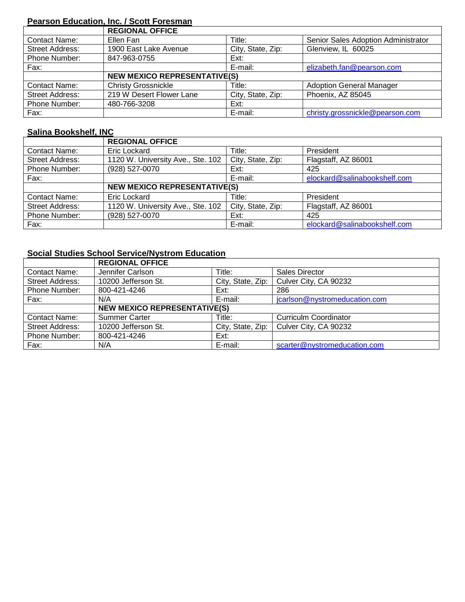## **Pearson Education, Inc. / Scott Foresman**

|                        | <b>REGIONAL OFFICE</b>              |                   |                                     |
|------------------------|-------------------------------------|-------------------|-------------------------------------|
| <b>Contact Name:</b>   | Ellen Fan                           | Title:            | Senior Sales Adoption Administrator |
| Street Address:        | 1900 East Lake Avenue               | City, State, Zip: | Glenview, IL 60025                  |
| <b>Phone Number:</b>   | 847-963-0755                        | Ext:              |                                     |
| Fax:                   |                                     | E-mail:           | elizabeth.fan@pearson.com           |
|                        | <b>NEW MEXICO REPRESENTATIVE(S)</b> |                   |                                     |
| <b>Contact Name:</b>   | <b>Christy Grossnickle</b>          | Title:            | <b>Adoption General Manager</b>     |
| <b>Street Address:</b> | 219 W Desert Flower Lane            | City, State, Zip: | Phoenix, AZ 85045                   |
| Phone Number:          | 480-766-3208                        | Ext:              |                                     |
| Fax:                   |                                     | E-mail:           | christy.grossnickle@pearson.com     |

## **Salina Bookshelf, INC**

|                      | <b>REGIONAL OFFICE</b>              |                   |                              |
|----------------------|-------------------------------------|-------------------|------------------------------|
| <b>Contact Name:</b> | Eric Lockard                        | Title:            | President                    |
| Street Address:      | 1120 W. University Ave., Ste. 102   | City, State, Zip: | Flagstaff, AZ 86001          |
| Phone Number:        | (928) 527-0070                      | Ext:              | 425                          |
| Fax:                 |                                     | E-mail:           | elockard@salinabookshelf.com |
|                      | <b>NEW MEXICO REPRESENTATIVE(S)</b> |                   |                              |
| <b>Contact Name:</b> | Eric Lockard                        | Title:            | President                    |
| Street Address:      | 1120 W. University Ave., Ste. 102   | City, State, Zip: | Flagstaff, AZ 86001          |
| Phone Number:        | (928) 527-0070                      | Ext:              | 425                          |
| Fax:                 |                                     | E-mail:           | elockard@salinabookshelf.com |

# **Social Studies School Service/Nystrom Education**

|                        | <b>REGIONAL OFFICE</b>              |                   |                               |  |
|------------------------|-------------------------------------|-------------------|-------------------------------|--|
| <b>Contact Name:</b>   | Jennifer Carlson                    | Title:            | <b>Sales Director</b>         |  |
| <b>Street Address:</b> | 10200 Jefferson St.                 | City, State, Zip: | Culver City, CA 90232         |  |
| Phone Number:          | 800-421-4246                        | Ext:              | 286                           |  |
| Fax:                   | N/A                                 | E-mail:           | jcarlson@nystromeducation.com |  |
|                        | <b>NEW MEXICO REPRESENTATIVE(S)</b> |                   |                               |  |
| <b>Contact Name:</b>   | <b>Summer Carter</b>                | Title:            | <b>Curriculm Coordinator</b>  |  |
| Street Address:        | 10200 Jefferson St.                 | City, State, Zip: | Culver City, CA 90232         |  |
| Phone Number:          | 800-421-4246                        | Ext:              |                               |  |
| Fax:                   | N/A                                 | E-mail:           | scarter@nystromeducation.com  |  |